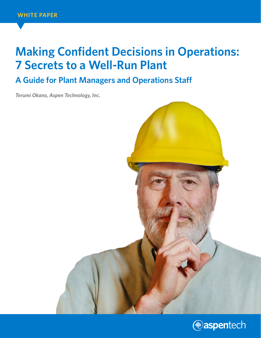# **Making Confident Decisions in Operations: 7 Secrets to a Well-Run Plant**

### **A Guide for Plant Managers and Operations Staff**

*Terumi Okano, Aspen Technology, Inc.*



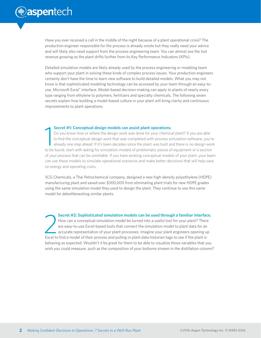Have you ever received a call in the middle of the night because of a plant operational crisis? The production engineer responsible for the process is already onsite but they really need your advice and will likely also need support from the process engineering team. You can almost see the lost revenue growing as the plant drifts further from its Key Performance Indicators (KPIs).

Detailed simulation models are likely already used by the process engineering or modeling team who support your plant in solving these kinds of complex process issues. Your production engineers certainly don't have the time to learn new software to build detailed models. What you may not know is that sophisticated modeling technology can be accessed by your team through an easy-touse, Microsoft Excel® interface. Model-based decision-making can apply to plants of nearly every type ranging from ethylene to polymers, fertilizers and specialty chemicals. The following seven secrets explain how building a model-based culture in your plant will bring clarity and continuous improvements to plant operations.

#### **Secret #1: Conceptual design models can assist plant operations.**

Secret #1: Conceptual design models can assist plant operations.<br>
Do you know how or where the design work was done for your chemical plant? If you are able<br>
to find the conceptual design work that was completed with proce Do you know how or where the design work was done for your chemical plant? If you are able to find the conceptual design work that was completed with process simulation software, you're already one step ahead. If it's been decades since the plant was built and there is no design work of your process that can be unreliable. If you have existing conceptual models of your plant, your team can use these models to simulate operational scenarios and make better decisions that will help save on energy and operating costs.

SCG Chemicals, a Thai Petrochemical company, designed a new high-density polyethylene (HDPE) manufacturing plant and saved over \$300,000 from eliminating plant trials for new HDPE grades using the same simulation model they used to design the plant. They continue to use this same model for debottlenecking similar plants.

Secret #2: Sophisticated simulation models can be used through a familiar interfaction How can a conceptual simulation model be turned into a useful tool for your plant? There are easy-to-use Excel-based tools that connect **Secret #2: Sophisticated simulation models can be used through a familiar interface.** How can a conceptual simulation model be turned into a useful tool for your plant? There are easy-to-use Excel-based tools that connect the simulation model to plant data for an accurate representation of your plant processes. Imagine your plant engineers opening up behaving as expected. Wouldn't it be great for them to be able to visualize those variables that you wish you could measure, such as the composition of your bottoms stream in the distillation column?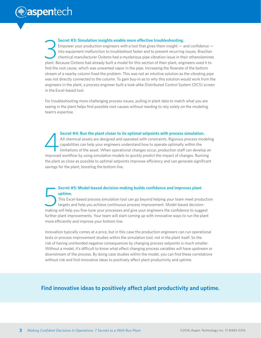### *<u></u>* aspentech

Secret #3: Simulation insights enable more effective troubleshooting.<br>
Empower your production engineers with a tool that gives them insight — and confidence —<br>
into equipment malfunction to troubleshoot faster and to prev **Secret #3: Simulation insights enable more effective troubleshooting.** Empower your production engineers with a tool that gives them insight  $-$  and confidence  $$ into equipment malfunction to troubleshoot faster and to prevent recurring issues. Brazilian chemical manufacturer Oxiteno had a mysterious pipe vibration issue in their ethanolamines find the root cause, which was unwanted vapor in the pipe. Increasing the flowrate of the bottom stream of a nearby column fixed the problem. This was not an intuitive solution as the vibrating pipe was not directly connected to the column. To gain buy-in as to why this solution would work from the engineers in the plant, a process engineer built a look-alike Distributed Control System (DCS) screen in the Excel-based tool.

For troubleshooting more challenging process issues, pulling in plant data to match what you are seeing in the plant helps find possible root causes without needing to rely solely on the modeling team's expertise.

#### Secret #4: Run the plant closer to its optimal setpoints with process simulation.<br>All chemical assets are designed and operated with constraints. Rigorous process modeli<br>capabilities can help your engineers understand how **Secret #4: Run the plant closer to its optimal setpoints with process simulation.** All chemical assets are designed and operated with constraints. Rigorous process modeling capabilities can help your engineers understand how to operate optimally within the limitations of the asset. When operational changes occur, production staff can develop an the plant as close as possible to optimal setpoints improves efficiency and can generate significant savings for the plant, boosting the bottom line.

Secret #5: Model-based decision-making builds confidence and improves plant<br>uptime.<br>This Excel-based process simulation tool can go beyond helping your team meet producti<br>targets and help you achieve continuous process imp **Secret #5: Model-based decision-making builds confidence and improves plant uptime.** This Excel-based process simulation tool can go beyond helping your team meet production targets and help you achieve continuous process improvement. Model-based decisionfurther plant improvements. Your team will start coming up with innovative ways to run the plant more efficiently and improve your bottom line.

Innovation typically comes at a price, but in this case the production engineers can run operational tests or process improvement studies within the simulation tool, not in the plant itself. So the risk of having unintended negative consequences by changing process setpoints is much smaller. Without a model, it's difficult to know what effect changing process variables will have upstream or downstream of the process. By doing case studies within the model, you can find these correlations without risk and find innovative ideas to positively affect plant productivity and uptime.

### **Find innovative ideas to positively affect plant productivity and uptime.**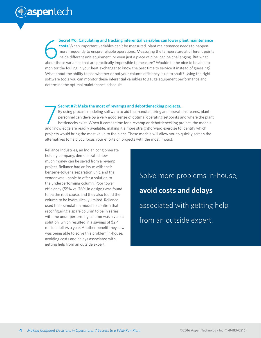### **COM** aspentech

Secret #6: Calculating and tracking inferential variables can lower plant maintenance costs. When important variables can't be measured, plant maintenance needs to happen more frequently to ensure reliable operations. Meas **Secret #6: Calculating and tracking inferential variables can lower plant maintenance costs.**When important variables can't be measured, plant maintenance needs to happen more frequently to ensure reliable operations. Measuring the temperature at different points inside different unit equipment, or even just a piece of pipe, can be challenging. But what monitor the fouling in your heat exchanger to know the best time to service it instead of guessing? What about the ability to see whether or not your column efficiency is up to snuff? Using the right software tools you can monitor these inferential variables to gauge equipment performance and determine the optimal maintenance schedule.

#### **Secret #7: Make the most of revamps and debottlenecking projects.**

Secret #7: Make the most of revamps and debottlenecking projects.<br>By using process modeling software to aid the manufacturing and operations teams, plar<br>personnel can develop a very good sense of optimal operating setpoint By using process modeling software to aid the manufacturing and operations teams, plant personnel can develop a very good sense of optimal operating setpoints and where the plant bottlenecks exist. When it comes time for a revamp or debottlenecking project, the models projects would bring the most value to the plant. These models will allow you to quickly screen the alternatives to help you focus your efforts on projects with the most impact.

Reliance Industries, an Indian conglomerate holding company, demonstrated how much money can be saved from a revamp project. Reliance had an issue with their benzene-toluene separation unit, and the vendor was unable to offer a solution to the underperforming column. Poor tower efficiency (55% vs. 76% in design) was found to be the root cause, and they also found the column to be hydraulically limited. Reliance used their simulation model to confirm that reconfiguring a spare column to be in series with the underperforming column was a viable solution, which resulted in a savings of \$2.4 million dollars a year. Another benefit they saw was being able to solve this problem in-house, avoiding costs and delays associated with getting help from an outside expert.

Solve more problems in-house, **avoid costs and delays** associated with getting help from an outside expert.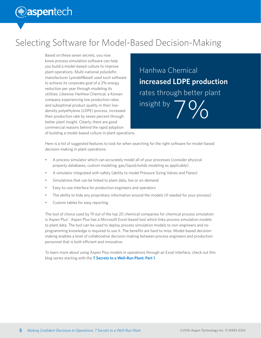## **The aspentech**

### Selecting Software for Model-Based Decision-Making

Based on these seven secrets, you now know process simulation software can help you build a model-based culture to improve plant operations. Multi-national polyolefin manufacturer LyondellBasell used such software to achieve its corporate goal of a 2% energy reduction per year through modeling its utilities. Likewise Hanhwa Chemical, a Korean company experiencing low production rates and suboptimal product quality in their lowdensity polyethylene (LDPE) process, increased their production rate by seven percent through better plant insight. Clearly, there are good commercial reasons behind the rapid adoption of building a model-based culture in plant operations.

Hanhwa Chemical **increased LDPE production** rates through better plant insight by

Here is a list of suggested features to look for when searching for the right software for model-based decision-making in plant operations:

- A process simulator which can accurately model all of your processes (consider physical property databases, custom modeling, gas/liquid/solids modeling as applicable)
- A simulator integrated with safety (ability to model Pressure Sizing Valves and Flares)
- Simulations that can be linked to plant data, live or on-demand
- Easy-to-use interface for production engineers and operators
- The ability to hide any proprietary information around the models (if needed for your process)
- Custom tables for easy reporting

The tool of choice used by 19 out of the top 20 chemical companies for chemical process simulation is Aspen Plus®. Aspen Plus has a Microsoft Excel-based tool which links process simulation models to plant data. The tool can be used to deploy process simulation models to non-engineers and no programming knowledge is required to use it. The benefits are hard to miss: Model-based decisionmaking enables a level of collaborative decision-making between process engineers and production personnel that is both efficient and innovative.

To learn more about using Aspen Plus models in operations through an Excel interface, check out this blog series starting with the **[7 Secrets to a Well-Run Plant: Part 1](https://www.linkedin.com/pulse/secret-1-conceptual-design-models-can-assist-plant-okano-pe)**.